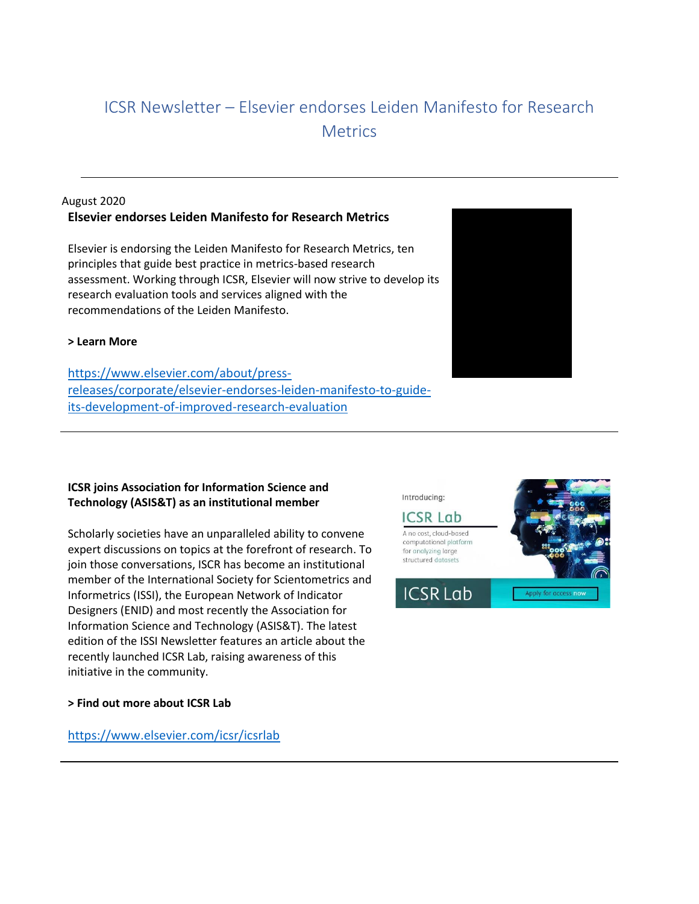# ICSR Newsletter – Elsevier endorses Leiden Manifesto for Research **Metrics**

## August 2020 **Elsevier endorses Leiden Manifesto for Research Metrics**

Elsevier is endorsing the Leiden Manifesto for Research Metrics, ten principles that guide best practice in metrics-based research assessment. Working through ICSR, Elsevier will now strive to develop its research evaluation tools and services aligned with the recommendations of the Leiden Manifesto.

### **> Learn More**

[https://www.elsevier.com/about/press](https://www.elsevier.com/about/press-releases/corporate/elsevier-endorses-leiden-manifesto-to-guide-its-development-of-improved-research-evaluation)[releases/corporate/elsevier-endorses-leiden-manifesto-to-guide](https://www.elsevier.com/about/press-releases/corporate/elsevier-endorses-leiden-manifesto-to-guide-its-development-of-improved-research-evaluation)[its-development-of-improved-research-evaluation](https://www.elsevier.com/about/press-releases/corporate/elsevier-endorses-leiden-manifesto-to-guide-its-development-of-improved-research-evaluation)

# **ICSR joins Association for Information Science and Technology (ASIS&T) as an institutional member**

Scholarly societies have an unparalleled ability to convene expert discussions on topics at the forefront of research. To join those conversations, ISCR has become an institutional member of the International Society for Scientometrics and Informetrics (ISSI), the European Network of Indicator Designers (ENID) and most recently the Association for Information Science and Technology (ASIS&T). The latest edition of the ISSI Newsletter features an article about the recently launched ICSR Lab, raising awareness of this initiative in the community.

#### **> Find out more about ICSR Lab**

<https://www.elsevier.com/icsr/icsrlab>